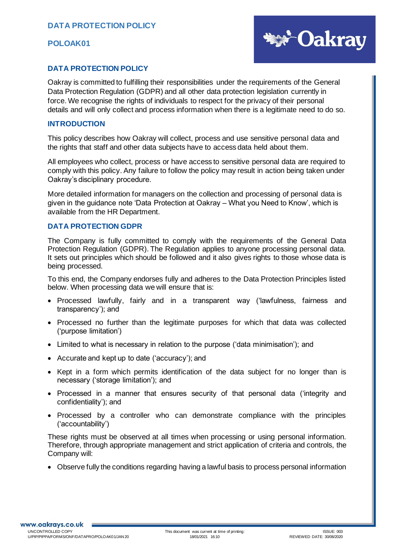

## **DATA PROTECTION POLICY**

Oakray is committed to fulfilling their responsibilities under the requirements of the General Data Protection Regulation (GDPR) and all other data protection legislation currently in force. We recognise the rights of individuals to respect for the privacy of their personal details and will only collect and process information when there is a legitimate need to do so.

#### **INTRODUCTION**

This policy describes how Oakray will collect, process and use sensitive personal data and the rights that staff and other data subjects have to access data held about them.

All employees who collect, process or have access to sensitive personal data are required to comply with this policy. Any failure to follow the policy may result in action being taken under Oakray's disciplinary procedure.

More detailed information for managers on the collection and processing of personal data is given in the guidance note 'Data Protection at Oakray – What you Need to Know', which is available from the HR Department.

## **DATA PROTECTION GDPR**

The Company is fully committed to comply with the requirements of the General Data Protection Regulation (GDPR). The Regulation applies to anyone processing personal data. It sets out principles which should be followed and it also gives rights to those whose data is being processed.

To this end, the Company endorses fully and adheres to the Data Protection Principles listed below. When processing data we will ensure that is:

- Processed lawfully, fairly and in a transparent way ('lawfulness, fairness and transparency'); and
- Processed no further than the legitimate purposes for which that data was collected ('purpose limitation')
- Limited to what is necessary in relation to the purpose ('data minimisation'); and
- Accurate and kept up to date ('accuracy'); and
- Kept in a form which permits identification of the data subject for no longer than is necessary ('storage limitation'); and
- Processed in a manner that ensures security of that personal data ('integrity and confidentiality'); and
- Processed by a controller who can demonstrate compliance with the principles ('accountability')

These rights must be observed at all times when processing or using personal information. Therefore, through appropriate management and strict application of criteria and controls, the Company will:

• Observe fully the conditions regarding having a lawful basis to process personal information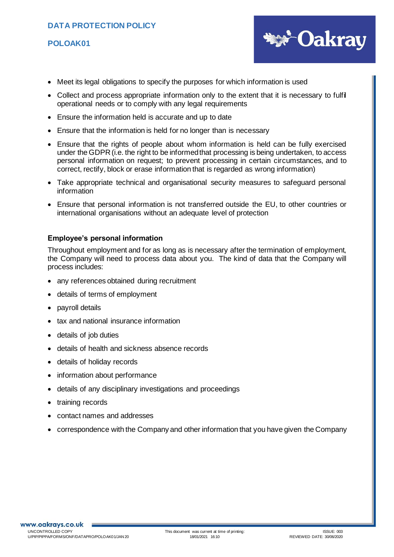# **DATA PROTECTION POLICY**

## **POLOAK01**



- Meet its legal obligations to specify the purposes for which information is used
- Collect and process appropriate information only to the extent that it is necessary to fulfil operational needs or to comply with any legal requirements
- Ensure the information held is accurate and up to date
- Ensure that the information is held for no longer than is necessary
- Ensure that the rights of people about whom information is held can be fully exercised under the GDPR (i.e. the right to be informed that processing is being undertaken, to access personal information on request; to prevent processing in certain circumstances, and to correct, rectify, block or erase information that is regarded as wrong information)
- Take appropriate technical and organisational security measures to safeguard personal information
- Ensure that personal information is not transferred outside the EU, to other countries or international organisations without an adequate level of protection

### **Employee's personal information**

Throughout employment and for as long as is necessary after the termination of employment, the Company will need to process data about you. The kind of data that the Company will process includes:

- any references obtained during recruitment
- details of terms of employment
- payroll details
- tax and national insurance information
- details of job duties
- details of health and sickness absence records
- details of holiday records
- information about performance
- details of any disciplinary investigations and proceedings
- training records
- contact names and addresses
- correspondence with the Company and other information that you have given the Company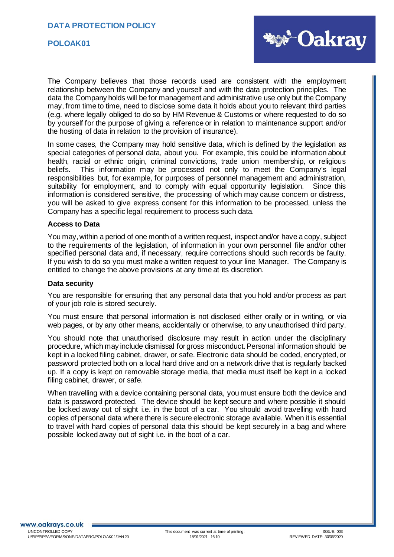

The Company believes that those records used are consistent with the employment relationship between the Company and yourself and with the data protection principles. The data the Company holds will be for management and administrative use only but the Company may, from time to time, need to disclose some data it holds about you to relevant third parties (e.g. where legally obliged to do so by HM Revenue & Customs or where requested to do so by yourself for the purpose of giving a reference or in relation to maintenance support and/or the hosting of data in relation to the provision of insurance).

In some cases, the Company may hold sensitive data, which is defined by the legislation as special categories of personal data, about you. For example, this could be information about health, racial or ethnic origin, criminal convictions, trade union membership, or religious beliefs. This information may be processed not only to meet the Company's legal responsibilities but, for example, for purposes of personnel management and administration, suitability for employment, and to comply with equal opportunity legislation. Since this information is considered sensitive, the processing of which may cause concern or distress, you will be asked to give express consent for this information to be processed, unless the Company has a specific legal requirement to process such data.

#### **Access to Data**

You may, within a period of one month of a written request, inspect and/or have a copy, subject to the requirements of the legislation, of information in your own personnel file and/or other specified personal data and, if necessary, require corrections should such records be faulty. If you wish to do so you must make a written request to your line Manager. The Company is entitled to change the above provisions at any time at its discretion.

#### **Data security**

You are responsible for ensuring that any personal data that you hold and/or process as part of your job role is stored securely.

You must ensure that personal information is not disclosed either orally or in writing, or via web pages, or by any other means, accidentally or otherwise, to any unauthorised third party.

You should note that unauthorised disclosure may result in action under the disciplinary procedure, which may include dismissal for gross misconduct. Personal information should be kept in a locked filing cabinet, drawer, or safe. Electronic data should be coded, encrypted, or password protected both on a local hard drive and on a network drive that is regularly backed up. If a copy is kept on removable storage media, that media must itself be kept in a locked filing cabinet, drawer, or safe.

When travelling with a device containing personal data, you must ensure both the device and data is password protected. The device should be kept secure and where possible it should be locked away out of sight i.e. in the boot of a car. You should avoid travelling with hard copies of personal data where there is secure electronic storage available. When it is essential to travel with hard copies of personal data this should be kept securely in a bag and where possible locked away out of sight i.e. in the boot of a car.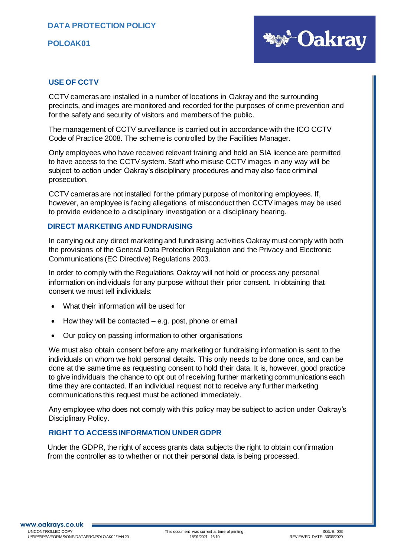

## **USE OF CCTV**

CCTV cameras are installed in a number of locations in Oakray and the surrounding precincts, and images are monitored and recorded for the purposes of crime prevention and for the safety and security of visitors and members of the public*.*

The management of CCTV surveillance is carried out in accordance with the ICO CCTV Code of Practice 2008. The scheme is controlled by the Facilities Manager.

Only employees who have received relevant training and hold an SIA licence are permitted to have access to the CCTV system. Staff who misuse CCTV images in any way will be subject to action under Oakray's disciplinary procedures and may also face criminal prosecution.

CCTV cameras are not installed for the primary purpose of monitoring employees. If, however, an employee is facing allegations of misconduct then CCTV images may be used to provide evidence to a disciplinary investigation or a disciplinary hearing.

### **DIRECT MARKETING AND FUNDRAISING**

In carrying out any direct marketing and fundraising activities Oakray must comply with both the provisions of the General Data Protection Regulation and the Privacy and Electronic Communications (EC Directive) Regulations 2003.

In order to comply with the Regulations Oakray will not hold or process any personal information on individuals for any purpose without their prior consent. In obtaining that consent we must tell individuals:

- What their information will be used for
- How they will be contacted  $-$  e.g. post, phone or email
- Our policy on passing information to other organisations

We must also obtain consent before any marketing or fundraising information is sent to the individuals on whom we hold personal details. This only needs to be done once, and can be done at the same time as requesting consent to hold their data. It is, however, good practice to give individuals the chance to opt out of receiving further marketing communications each time they are contacted. If an individual request not to receive any further marketing communications this request must be actioned immediately.

Any employee who does not comply with this policy may be subject to action under Oakray's Disciplinary Policy.

## **RIGHT TO ACCESS INFORMATION UNDER GDPR**

Under the GDPR, the right of access grants data subjects the right to obtain confirmation from the controller as to whether or not their personal data is being processed.